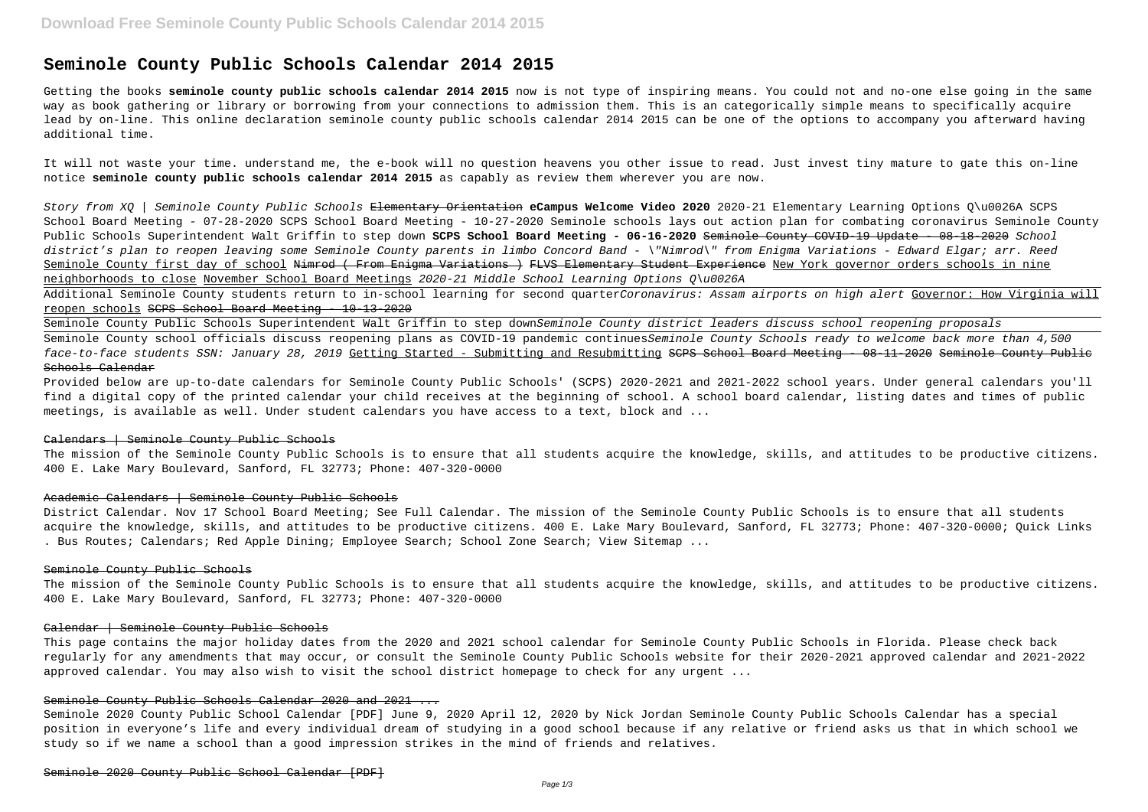# **Seminole County Public Schools Calendar 2014 2015**

Getting the books **seminole county public schools calendar 2014 2015** now is not type of inspiring means. You could not and no-one else going in the same way as book gathering or library or borrowing from your connections to admission them. This is an categorically simple means to specifically acquire lead by on-line. This online declaration seminole county public schools calendar 2014 2015 can be one of the options to accompany you afterward having additional time.

It will not waste your time. understand me, the e-book will no question heavens you other issue to read. Just invest tiny mature to gate this on-line notice **seminole county public schools calendar 2014 2015** as capably as review them wherever you are now.

Additional Seminole County students return to in-school learning for second quarterCoronavirus: Assam airports on high alert Governor: How Virginia will reopen schools SCPS School Board Meeting - 10-13-2020

Story from XQ | Seminole County Public Schools Elementary Orientation **eCampus Welcome Video 2020** 2020-21 Elementary Learning Options Q\u0026A SCPS School Board Meeting - 07-28-2020 SCPS School Board Meeting - 10-27-2020 Seminole schools lays out action plan for combating coronavirus Seminole County Public Schools Superintendent Walt Griffin to step down **SCPS School Board Meeting - 06-16-2020** Seminole County COVID-19 Update - 08-18-2020 School district's plan to reopen leaving some Seminole County parents in limbo Concord Band - \"Nimrod\" from Enigma Variations - Edward Elgar; arr. Reed Seminole County first day of school Nimrod (From Enigma Variations) FLVS Elementary Student Experience New York governor orders schools in nine neighborhoods to close November School Board Meetings 2020-21 Middle School Learning Options Q\u0026A

Seminole County Public Schools Superintendent Walt Griffin to step downSeminole County district leaders discuss school reopening proposals Seminole County school officials discuss reopening plans as COVID-19 pandemic continuesSeminole County Schools ready to welcome back more than 4,500 face-to-face students SSN: January 28, 2019 Getting Started - Submitting and Resubmitting SCPS School Board Meeting - 08-11-2020 Seminole County Public Schools Calendar

Provided below are up-to-date calendars for Seminole County Public Schools' (SCPS) 2020-2021 and 2021-2022 school years. Under general calendars you'll find a digital copy of the printed calendar your child receives at the beginning of school. A school board calendar, listing dates and times of public meetings, is available as well. Under student calendars you have access to a text, block and ...

#### Calendars | Seminole County Public Schools

The mission of the Seminole County Public Schools is to ensure that all students acquire the knowledge, skills, and attitudes to be productive citizens. 400 E. Lake Mary Boulevard, Sanford, FL 32773; Phone: 407-320-0000

#### Academic Calendars | Seminole County Public Schools

District Calendar. Nov 17 School Board Meeting; See Full Calendar. The mission of the Seminole County Public Schools is to ensure that all students acquire the knowledge, skills, and attitudes to be productive citizens. 400 E. Lake Mary Boulevard, Sanford, FL 32773; Phone: 407-320-0000; Quick Links . Bus Routes; Calendars; Red Apple Dining; Employee Search; School Zone Search; View Sitemap ...

#### Seminole County Public Schools

The mission of the Seminole County Public Schools is to ensure that all students acquire the knowledge, skills, and attitudes to be productive citizens. 400 E. Lake Mary Boulevard, Sanford, FL 32773; Phone: 407-320-0000

## Calendar | Seminole County Public Schools

This page contains the major holiday dates from the 2020 and 2021 school calendar for Seminole County Public Schools in Florida. Please check back regularly for any amendments that may occur, or consult the Seminole County Public Schools website for their 2020-2021 approved calendar and 2021-2022 approved calendar. You may also wish to visit the school district homepage to check for any urgent ...

# Seminole County Public Schools Calendar 2020 and 2021 ...

Seminole 2020 County Public School Calendar [PDF] June 9, 2020 April 12, 2020 by Nick Jordan Seminole County Public Schools Calendar has a special position in everyone's life and every individual dream of studying in a good school because if any relative or friend asks us that in which school we study so if we name a school than a good impression strikes in the mind of friends and relatives.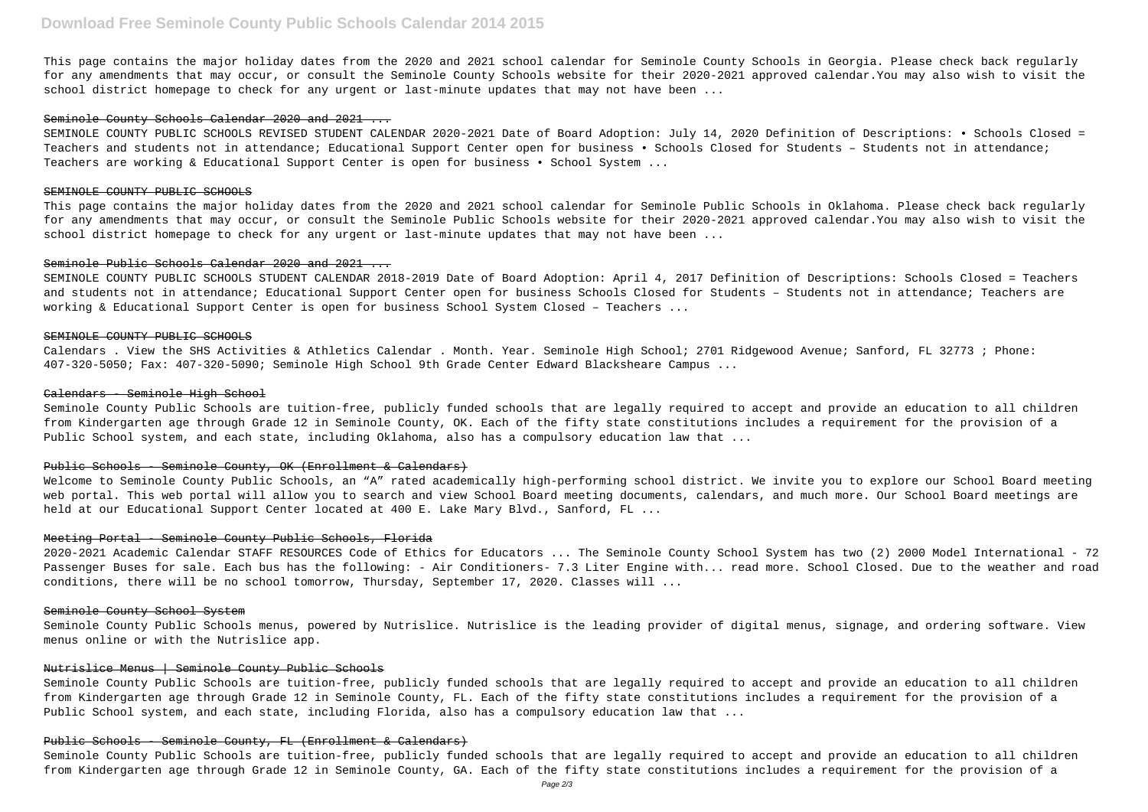This page contains the major holiday dates from the 2020 and 2021 school calendar for Seminole County Schools in Georgia. Please check back regularly for any amendments that may occur, or consult the Seminole County Schools website for their 2020-2021 approved calendar.You may also wish to visit the school district homepage to check for any urgent or last-minute updates that may not have been ...

#### Seminole County Schools Calendar 2020 and 2021 ...

This page contains the major holiday dates from the 2020 and 2021 school calendar for Seminole Public Schools in Oklahoma. Please check back regularly for any amendments that may occur, or consult the Seminole Public Schools website for their 2020-2021 approved calendar.You may also wish to visit the school district homepage to check for any urgent or last-minute updates that may not have been ...

#### Seminole Public Schools Calendar 2020 and 2021 ...

SEMINOLE COUNTY PUBLIC SCHOOLS REVISED STUDENT CALENDAR 2020-2021 Date of Board Adoption: July 14, 2020 Definition of Descriptions: • Schools Closed = Teachers and students not in attendance; Educational Support Center open for business • Schools Closed for Students – Students not in attendance; Teachers are working & Educational Support Center is open for business • School System ...

### SEMINOLE COUNTY PUBLIC SCHOOLS

Welcome to Seminole County Public Schools, an "A" rated academically high-performing school district. We invite you to explore our School Board meeting web portal. This web portal will allow you to search and view School Board meeting documents, calendars, and much more. Our School Board meetings are held at our Educational Support Center located at 400 E. Lake Mary Blvd., Sanford, FL ...

SEMINOLE COUNTY PUBLIC SCHOOLS STUDENT CALENDAR 2018-2019 Date of Board Adoption: April 4, 2017 Definition of Descriptions: Schools Closed = Teachers and students not in attendance; Educational Support Center open for business Schools Closed for Students – Students not in attendance; Teachers are working & Educational Support Center is open for business School System Closed – Teachers ...

#### SEMINOLE COUNTY PUBLIC SCHOOLS

Calendars . View the SHS Activities & Athletics Calendar . Month. Year. Seminole High School; 2701 Ridgewood Avenue; Sanford, FL 32773 ; Phone: 407-320-5050; Fax: 407-320-5090; Seminole High School 9th Grade Center Edward Blacksheare Campus ...

#### Calendars - Seminole High School

Seminole County Public Schools are tuition-free, publicly funded schools that are legally required to accept and provide an education to all children from Kindergarten age through Grade 12 in Seminole County, OK. Each of the fifty state constitutions includes a requirement for the provision of a Public School system, and each state, including Oklahoma, also has a compulsory education law that ...

## Public Schools - Seminole County, OK (Enrollment & Calendars)

## Meeting Portal - Seminole County Public Schools, Florida

2020-2021 Academic Calendar STAFF RESOURCES Code of Ethics for Educators ... The Seminole County School System has two (2) 2000 Model International - 72 Passenger Buses for sale. Each bus has the following: - Air Conditioners- 7.3 Liter Engine with... read more. School Closed. Due to the weather and road conditions, there will be no school tomorrow, Thursday, September 17, 2020. Classes will ...

## Seminole County School System

Seminole County Public Schools menus, powered by Nutrislice. Nutrislice is the leading provider of digital menus, signage, and ordering software. View menus online or with the Nutrislice app.

## Nutrislice Menus | Seminole County Public Schools

Seminole County Public Schools are tuition-free, publicly funded schools that are legally required to accept and provide an education to all children from Kindergarten age through Grade 12 in Seminole County, FL. Each of the fifty state constitutions includes a requirement for the provision of a Public School system, and each state, including Florida, also has a compulsory education law that ...

# Public Schools - Seminole County, FL (Enrollment & Calendars)

Seminole County Public Schools are tuition-free, publicly funded schools that are legally required to accept and provide an education to all children from Kindergarten age through Grade 12 in Seminole County, GA. Each of the fifty state constitutions includes a requirement for the provision of a